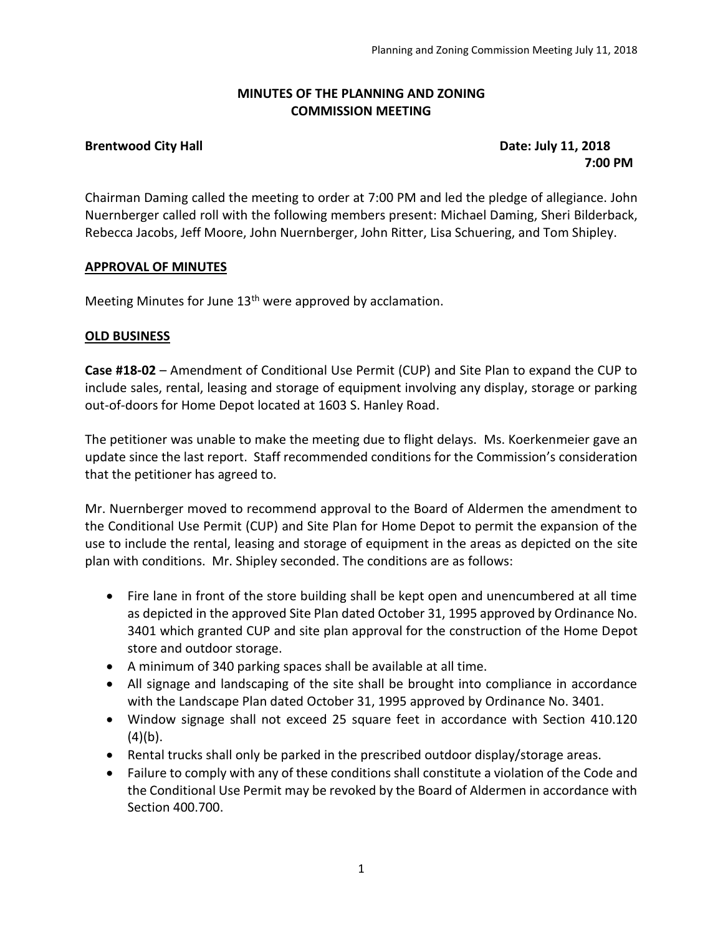# **MINUTES OF THE PLANNING AND ZONING COMMISSION MEETING**

# **Brentwood City Hall Date: July 11, 2018**

 **7:00 PM**

Chairman Daming called the meeting to order at 7:00 PM and led the pledge of allegiance. John Nuernberger called roll with the following members present: Michael Daming, Sheri Bilderback, Rebecca Jacobs, Jeff Moore, John Nuernberger, John Ritter, Lisa Schuering, and Tom Shipley.

# **APPROVAL OF MINUTES**

Meeting Minutes for June 13<sup>th</sup> were approved by acclamation.

# **OLD BUSINESS**

**Case #18-02** – Amendment of Conditional Use Permit (CUP) and Site Plan to expand the CUP to include sales, rental, leasing and storage of equipment involving any display, storage or parking out-of-doors for Home Depot located at 1603 S. Hanley Road.

The petitioner was unable to make the meeting due to flight delays. Ms. Koerkenmeier gave an update since the last report. Staff recommended conditions for the Commission's consideration that the petitioner has agreed to.

Mr. Nuernberger moved to recommend approval to the Board of Aldermen the amendment to the Conditional Use Permit (CUP) and Site Plan for Home Depot to permit the expansion of the use to include the rental, leasing and storage of equipment in the areas as depicted on the site plan with conditions. Mr. Shipley seconded. The conditions are as follows:

- Fire lane in front of the store building shall be kept open and unencumbered at all time as depicted in the approved Site Plan dated October 31, 1995 approved by Ordinance No. 3401 which granted CUP and site plan approval for the construction of the Home Depot store and outdoor storage.
- A minimum of 340 parking spaces shall be available at all time.
- All signage and landscaping of the site shall be brought into compliance in accordance with the Landscape Plan dated October 31, 1995 approved by Ordinance No. 3401.
- Window signage shall not exceed 25 square feet in accordance with Section 410.120  $(4)(b)$ .
- Rental trucks shall only be parked in the prescribed outdoor display/storage areas.
- Failure to comply with any of these conditions shall constitute a violation of the Code and the Conditional Use Permit may be revoked by the Board of Aldermen in accordance with Section 400.700.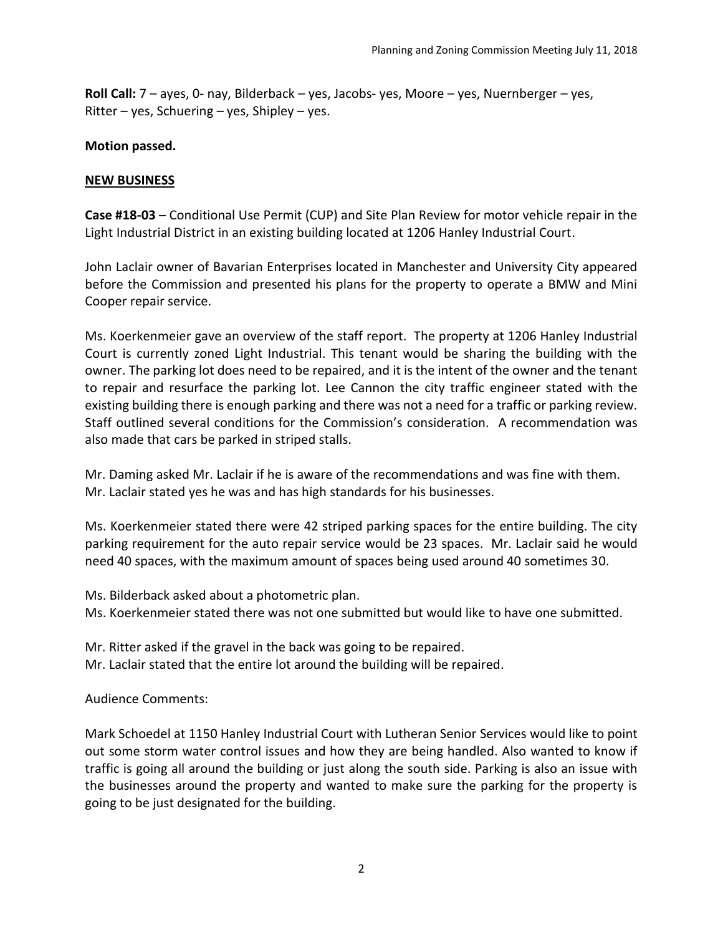**Roll Call:** 7 – ayes, 0- nay, Bilderback – yes, Jacobs- yes, Moore – yes, Nuernberger – yes, Ritter – yes, Schuering – yes, Shipley – yes.

### **Motion passed.**

### **NEW BUSINESS**

**Case #18-03** – Conditional Use Permit (CUP) and Site Plan Review for motor vehicle repair in the Light Industrial District in an existing building located at 1206 Hanley Industrial Court.

John Laclair owner of Bavarian Enterprises located in Manchester and University City appeared before the Commission and presented his plans for the property to operate a BMW and Mini Cooper repair service.

Ms. Koerkenmeier gave an overview of the staff report. The property at 1206 Hanley Industrial Court is currently zoned Light Industrial. This tenant would be sharing the building with the owner. The parking lot does need to be repaired, and it is the intent of the owner and the tenant to repair and resurface the parking lot. Lee Cannon the city traffic engineer stated with the existing building there is enough parking and there was not a need for a traffic or parking review. Staff outlined several conditions for the Commission's consideration. A recommendation was also made that cars be parked in striped stalls.

Mr. Daming asked Mr. Laclair if he is aware of the recommendations and was fine with them. Mr. Laclair stated yes he was and has high standards for his businesses.

Ms. Koerkenmeier stated there were 42 striped parking spaces for the entire building. The city parking requirement for the auto repair service would be 23 spaces. Mr. Laclair said he would need 40 spaces, with the maximum amount of spaces being used around 40 sometimes 30.

Ms. Bilderback asked about a photometric plan.

Ms. Koerkenmeier stated there was not one submitted but would like to have one submitted.

Mr. Ritter asked if the gravel in the back was going to be repaired. Mr. Laclair stated that the entire lot around the building will be repaired.

#### Audience Comments:

Mark Schoedel at 1150 Hanley Industrial Court with Lutheran Senior Services would like to point out some storm water control issues and how they are being handled. Also wanted to know if traffic is going all around the building or just along the south side. Parking is also an issue with the businesses around the property and wanted to make sure the parking for the property is going to be just designated for the building.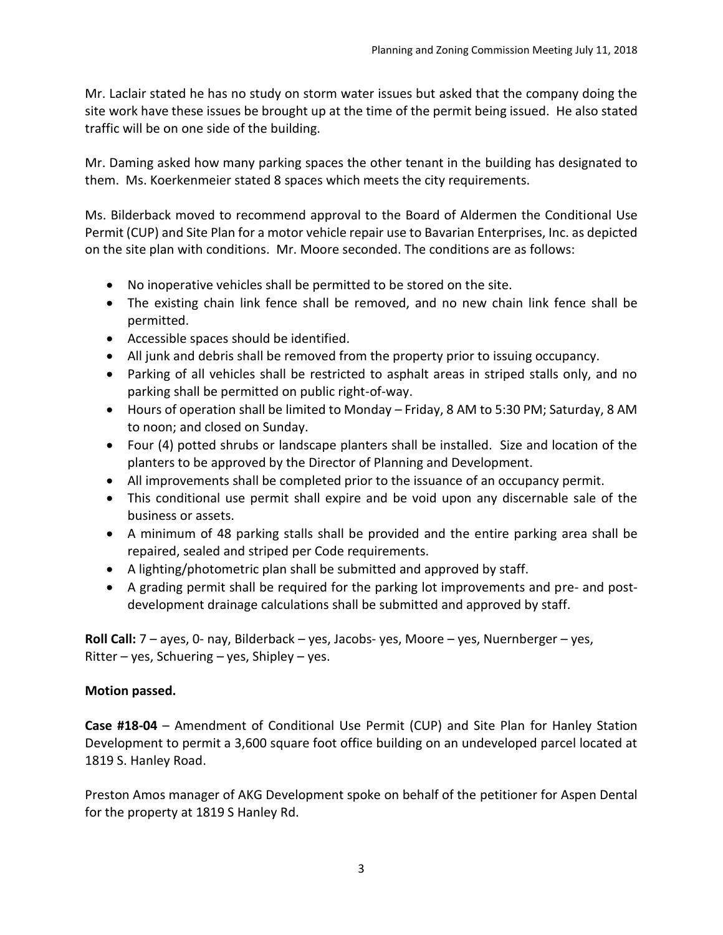Mr. Laclair stated he has no study on storm water issues but asked that the company doing the site work have these issues be brought up at the time of the permit being issued. He also stated traffic will be on one side of the building.

Mr. Daming asked how many parking spaces the other tenant in the building has designated to them. Ms. Koerkenmeier stated 8 spaces which meets the city requirements.

Ms. Bilderback moved to recommend approval to the Board of Aldermen the Conditional Use Permit (CUP) and Site Plan for a motor vehicle repair use to Bavarian Enterprises, Inc. as depicted on the site plan with conditions. Mr. Moore seconded. The conditions are as follows:

- No inoperative vehicles shall be permitted to be stored on the site.
- The existing chain link fence shall be removed, and no new chain link fence shall be permitted.
- Accessible spaces should be identified.
- All junk and debris shall be removed from the property prior to issuing occupancy.
- Parking of all vehicles shall be restricted to asphalt areas in striped stalls only, and no parking shall be permitted on public right-of-way.
- Hours of operation shall be limited to Monday Friday, 8 AM to 5:30 PM; Saturday, 8 AM to noon; and closed on Sunday.
- Four (4) potted shrubs or landscape planters shall be installed. Size and location of the planters to be approved by the Director of Planning and Development.
- All improvements shall be completed prior to the issuance of an occupancy permit.
- This conditional use permit shall expire and be void upon any discernable sale of the business or assets.
- A minimum of 48 parking stalls shall be provided and the entire parking area shall be repaired, sealed and striped per Code requirements.
- A lighting/photometric plan shall be submitted and approved by staff.
- A grading permit shall be required for the parking lot improvements and pre- and postdevelopment drainage calculations shall be submitted and approved by staff.

**Roll Call:** 7 – ayes, 0- nay, Bilderback – yes, Jacobs- yes, Moore – yes, Nuernberger – yes, Ritter – yes, Schuering – yes, Shipley – yes.

# **Motion passed.**

**Case #18-04** – Amendment of Conditional Use Permit (CUP) and Site Plan for Hanley Station Development to permit a 3,600 square foot office building on an undeveloped parcel located at 1819 S. Hanley Road.

Preston Amos manager of AKG Development spoke on behalf of the petitioner for Aspen Dental for the property at 1819 S Hanley Rd.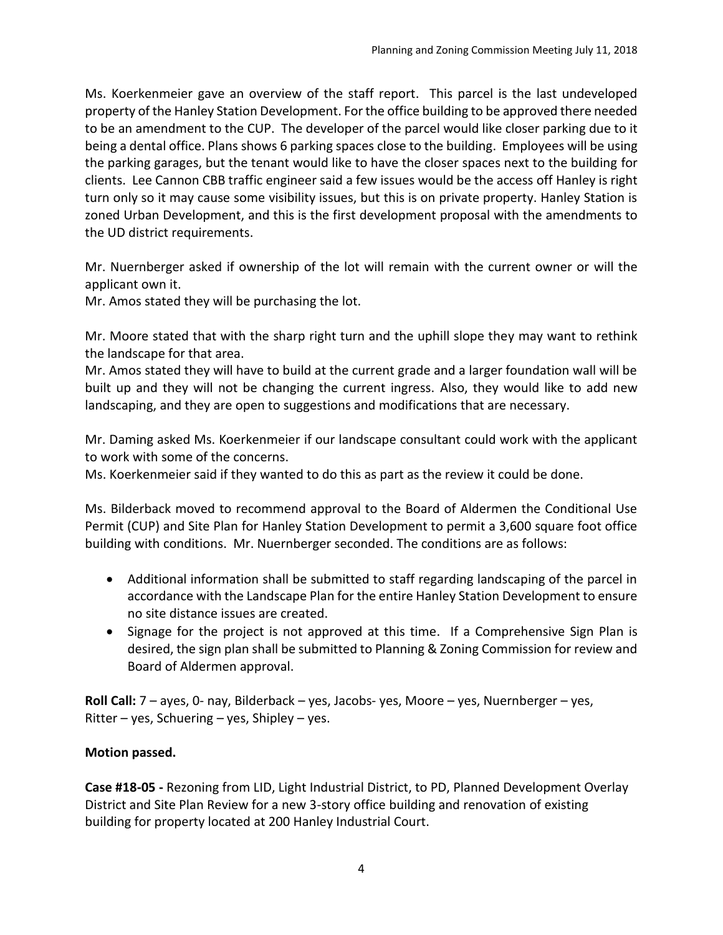Ms. Koerkenmeier gave an overview of the staff report. This parcel is the last undeveloped property of the Hanley Station Development. Forthe office building to be approved there needed to be an amendment to the CUP. The developer of the parcel would like closer parking due to it being a dental office. Plans shows 6 parking spaces close to the building. Employees will be using the parking garages, but the tenant would like to have the closer spaces next to the building for clients. Lee Cannon CBB traffic engineer said a few issues would be the access off Hanley is right turn only so it may cause some visibility issues, but this is on private property. Hanley Station is zoned Urban Development, and this is the first development proposal with the amendments to the UD district requirements.

Mr. Nuernberger asked if ownership of the lot will remain with the current owner or will the applicant own it.

Mr. Amos stated they will be purchasing the lot.

Mr. Moore stated that with the sharp right turn and the uphill slope they may want to rethink the landscape for that area.

Mr. Amos stated they will have to build at the current grade and a larger foundation wall will be built up and they will not be changing the current ingress. Also, they would like to add new landscaping, and they are open to suggestions and modifications that are necessary.

Mr. Daming asked Ms. Koerkenmeier if our landscape consultant could work with the applicant to work with some of the concerns.

Ms. Koerkenmeier said if they wanted to do this as part as the review it could be done.

Ms. Bilderback moved to recommend approval to the Board of Aldermen the Conditional Use Permit (CUP) and Site Plan for Hanley Station Development to permit a 3,600 square foot office building with conditions. Mr. Nuernberger seconded. The conditions are as follows:

- Additional information shall be submitted to staff regarding landscaping of the parcel in accordance with the Landscape Plan for the entire Hanley Station Development to ensure no site distance issues are created.
- Signage for the project is not approved at this time. If a Comprehensive Sign Plan is desired, the sign plan shall be submitted to Planning & Zoning Commission for review and Board of Aldermen approval.

**Roll Call:** 7 – ayes, 0- nay, Bilderback – yes, Jacobs- yes, Moore – yes, Nuernberger – yes, Ritter – yes, Schuering – yes, Shipley – yes.

# **Motion passed.**

**Case #18-05 -** Rezoning from LID, Light Industrial District, to PD, Planned Development Overlay District and Site Plan Review for a new 3-story office building and renovation of existing building for property located at 200 Hanley Industrial Court.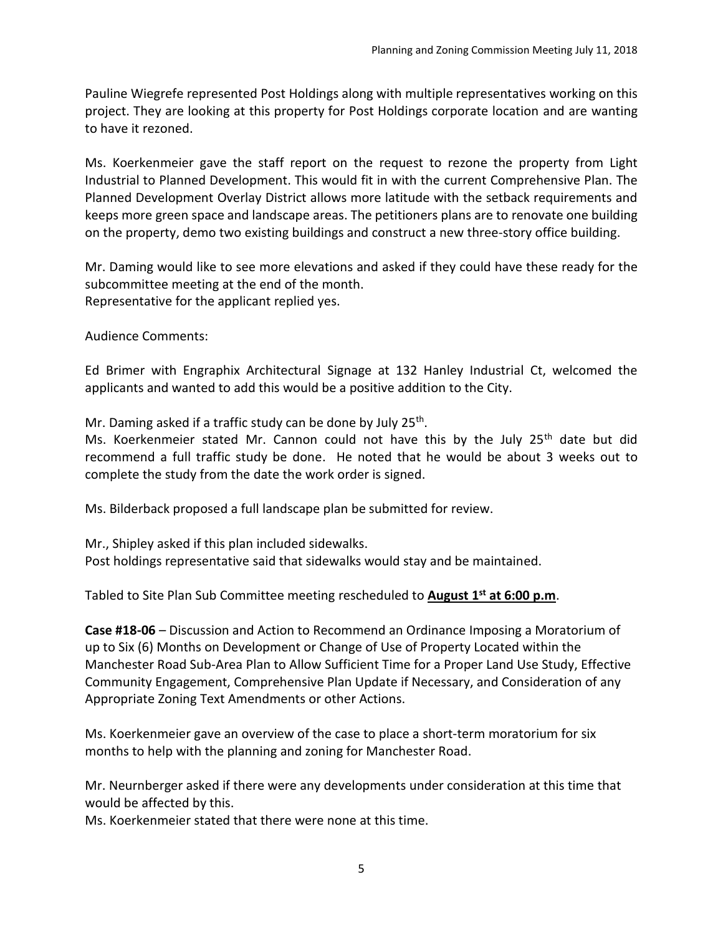Pauline Wiegrefe represented Post Holdings along with multiple representatives working on this project. They are looking at this property for Post Holdings corporate location and are wanting to have it rezoned.

Ms. Koerkenmeier gave the staff report on the request to rezone the property from Light Industrial to Planned Development. This would fit in with the current Comprehensive Plan. The Planned Development Overlay District allows more latitude with the setback requirements and keeps more green space and landscape areas. The petitioners plans are to renovate one building on the property, demo two existing buildings and construct a new three-story office building.

Mr. Daming would like to see more elevations and asked if they could have these ready for the subcommittee meeting at the end of the month. Representative for the applicant replied yes.

Audience Comments:

Ed Brimer with Engraphix Architectural Signage at 132 Hanley Industrial Ct, welcomed the applicants and wanted to add this would be a positive addition to the City.

Mr. Daming asked if a traffic study can be done by July 25<sup>th</sup>.

Ms. Koerkenmeier stated Mr. Cannon could not have this by the July  $25<sup>th</sup>$  date but did recommend a full traffic study be done. He noted that he would be about 3 weeks out to complete the study from the date the work order is signed.

Ms. Bilderback proposed a full landscape plan be submitted for review.

Mr., Shipley asked if this plan included sidewalks. Post holdings representative said that sidewalks would stay and be maintained.

Tabled to Site Plan Sub Committee meeting rescheduled to **August 1st at 6:00 p.m**.

**Case #18-06** – Discussion and Action to Recommend an Ordinance Imposing a Moratorium of up to Six (6) Months on Development or Change of Use of Property Located within the Manchester Road Sub-Area Plan to Allow Sufficient Time for a Proper Land Use Study, Effective Community Engagement, Comprehensive Plan Update if Necessary, and Consideration of any Appropriate Zoning Text Amendments or other Actions.

Ms. Koerkenmeier gave an overview of the case to place a short-term moratorium for six months to help with the planning and zoning for Manchester Road.

Mr. Neurnberger asked if there were any developments under consideration at this time that would be affected by this.

Ms. Koerkenmeier stated that there were none at this time.